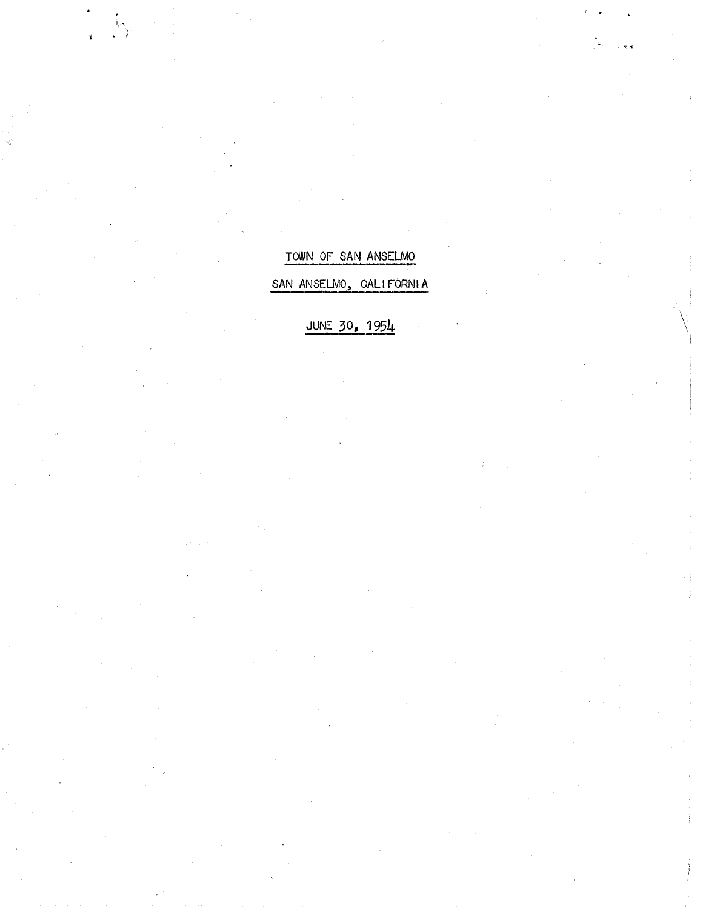TOWN OF SAN ANSELMO

SAN ANSELMO, CALIFORNIA

JUNE 30, 1954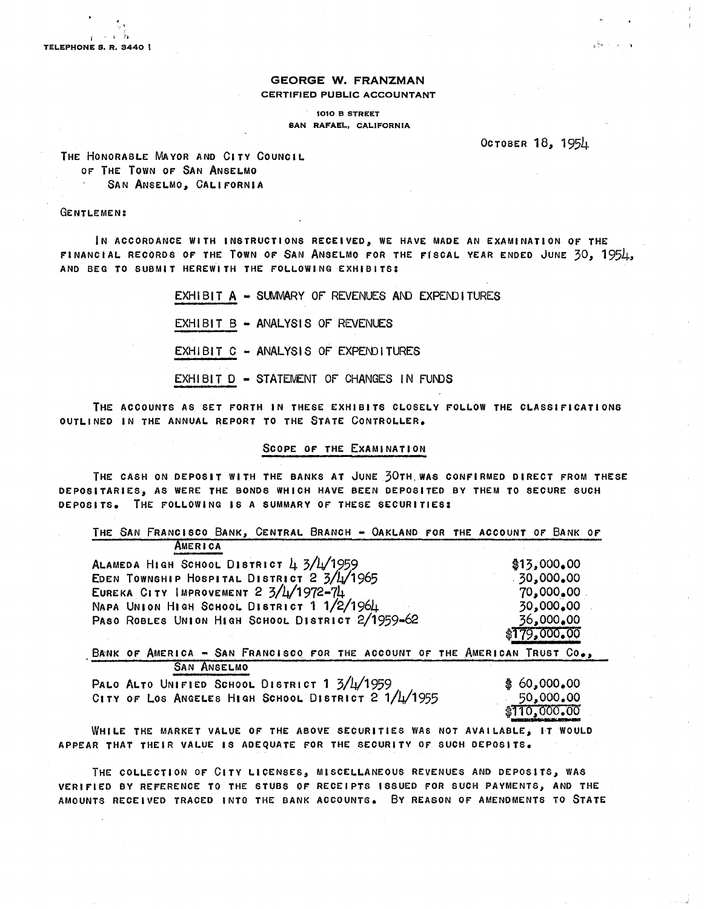#### **GEORGE W. FRANZMAN**  CERTIFIED PUBLIC ACCOUNTANT

1010 B STREET SAN RAFAEL, CALIFORNIA

OCTOBER 18, 1954

THE HONORABLE MAYOR AND CITY COUNCIL OF THE TOWN OF SAN ANSELMO SAN ANSELMO, CALIFORNIA

#### GENTLEMEN:

IN ACCORDANCE WITH INSTRUCTIONS RECEIVED, WE HAVE MADE AN EXAMINATION OF THE FINANCIAL RECORDS OF THE TOWN OF SAN ANSELMO FOR THE FISCAL YEAR ENDED JUNE 30, 1954, AND BEG TO SUBMIT HEREWITH THE FOLLOWING EXHIBITS:

> EXHIBIT  $A -$  SUMMARY OF REVENUES AND EXPENDITURES EXHIBIT B - ANALYSIS OF REVENUES EXHIBIT C - ANALYSIS OF EXPENDITURES EXHIBIT D - STATEMENT OF CHANGES IN FUNDS

THE ACCOUNTS AS SET FORTH IN THESE EXHIBITS CLOSELY FOLLOW THE CLASSIFICATIONS OUTLINED IN THE ANNUAL REPORT TO THE STATE CONTROLLER.

#### SCOPE OF THE EXAMINATION

THE CASH ON DEPOSIT WITH THE BANKS AT JUNE 30TH,WAS CONFIRMED DIRECT FROM THESE DEPOSITARIES, AS WERE THE BONDS WHICH HAVE BEEN DEPOSITED BY THEM TO SECURE SUCH DEPOSITS. THE FOLLOWING IS A SUMMARY OF THESE SECURITIES:

THE SAN FRANCISCO BANK, CENTRAL BRANCH - OAKLAND FOR THE ACCOUNT OF BANK OF **AMERICA** ALAMEDA HIGH SCHOOL DISTRICT  $\frac{1}{4}$  3/ $\frac{1}{4}$ 1959 \$13,t000.00

EDEN TOWNSHIP HOSPITAL DISTRICT 2 3/4/1965 EUREKA CITY IMPROVEMENT  $2 \frac{3}{4}$ /1972-74 NAPA UNION HIGH SCHOOL DISTRICT 1 1/2/1964 PASO ROBLES UNION HIGH SCHOOL DISTRICT 2/1959-62 ·30,000.00 70,000.00 30,000.00 36,000.00 \$T79,ooo.OO

BANK OF AMERICA - SAN FRANCISCO FOR THE ACCOUNT OF THE AMERICAN TRUST CO., SAN ANSELMO

| PALO ALTO UNIFIED SCHOOL DISTRICT 1 3/4/1959        | \$60,000,00                       |
|-----------------------------------------------------|-----------------------------------|
| CITY OF LOS ANGELES HIGH SCHOOL DISTRICT 2 1/4/1955 |                                   |
|                                                     | 000.00 50,000<br>110,000.00 \$110 |

WHILE THE MARKET VALUE OF THE ABOVE SECURITIES WAS NOT AVAILABLE, IT WOULD APPEAR THAT THEIR VALUE IS ADEQUATE FOR THE SECURITY OF SUCH DEPOSITS.

THE COLLECTION OF CITY LICENSES, MISCELLANEOUS REVENUES AND DEPOSITS, WAS VERIFIED BY REFERENCE TO THE STUBS OF RECEIPTS ISSUED FOR SUCH PAYMENTS, AND THE AMOUNTS RECEIVED TRACED INTO THE BANK ACCOUNTS. By REASON OF AMENDMENTS TO STATE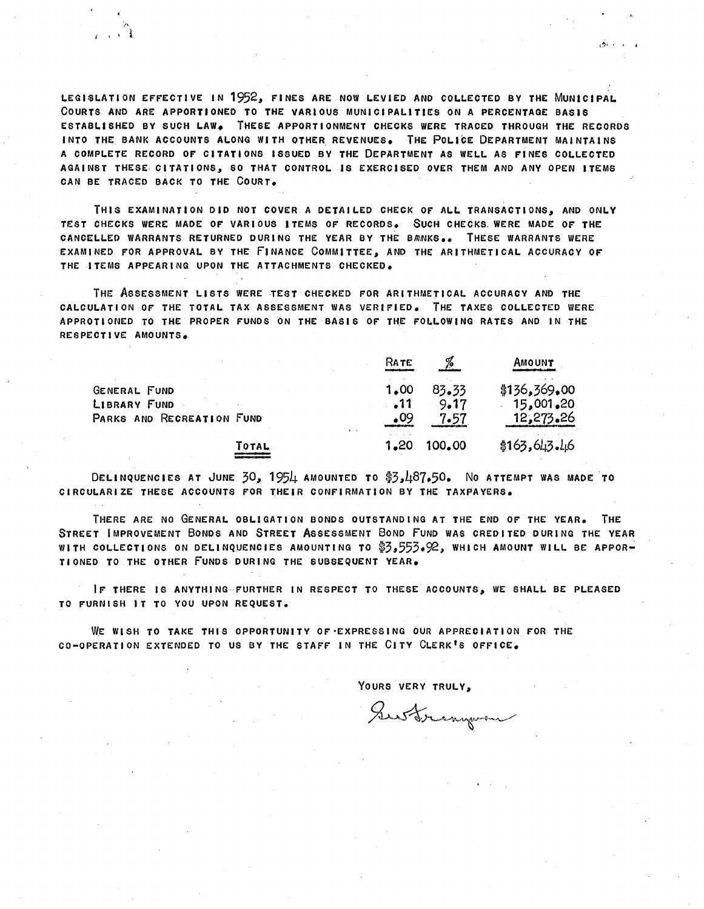LEGISLATION EFFECTIVE IN 1952, FINES ARE NOW LEVIED AND COLLECTED BY THE MUNICIPAL COURTS AND ARE APPORTIONED TO THE VARIOUS MUNICIPALITIES ON A PERCENTAGE BASIS ESTABLISHED BY SUCH LAW. THESE APPORTIONMENT CHECKS WERE TRACED THROUGH THE RECORDS INTO THE BANK ACCOUNTS ALONG WITH OTHER REVENUES. THE POLICE DEPARTMENT MAINTAINS A COMPLETE RECORD OF CITATIONS ISSUED BY THE DEPARTMENT AS WELL AS FINES COLLECTED AGAINST THESE CITATIONS, SO THAT CONTROL IS EXERCISED OVER THEM AND ANY OPEN ITEMS CAN BE TRACED BACK TO THE COURT.

 $\sim$  '

 $\blacksquare$ 

THIS EXAMINATION DID NOT COVER A DETAILED CHECK OF ALL TRANSACTIONS, AND ONLY TEST CHECKS WERE MADE OF VARIOUS ITEMS OF RECORDS. SUCH CHECKS. WERE MADE OF THE CANCELLED WARRANTS RETURNED DURING THE YEAR BY THE BANKS.. THESE WARRANTS WERE EXAMINED FOR APPROVAL BY THE FINANCE COMMITTEE, AND THE ARITHMETICAL ACCURACY OF THE ITEMS APPEARING UPON THE ATTACHMENTS CHECKED.

THE ASSESSMENT LISTS WERE TEST CHECKED FOR ARITHMETICAL ACCURACY AND THE CALCULATION OF THE TOTAL TAX ASSESSMENT WAS VERIFIED. THE TAXES COLLECTED WERE APPROTIONED TO THE PROPER FUNDS ON THE BASIS OF THE FOLLOWING RATES AND IN THE RESPECTIVE AMOUNTS.

|                           |       | RATE       |        | AMOUNT       |
|---------------------------|-------|------------|--------|--------------|
| GENERAL FUND              |       | 1.00       | 83.33  | \$136,369,00 |
| LIBRARY FUND              |       | . 11       | 9.17   | 15,001,20    |
| PARKS AND RECREATION FUND |       | $\cdot$ 09 | 7.57   | 12,273,26    |
|                           | TOTAL | 1.20       | 100.00 | \$163,643.46 |

DELINQUENCIES AT JUNE 30, 1954 AMOUNTED TO \$3,487.50. NO ATTEMPT WAS MADE TO CIRCULARIZE THESE ACCOUNTS FOR THEIR CONFIRMATION BY THE TAXPAYERS.

THERE ARE NO GENERAL OBLIGATION BONOS OUTSTANDING AT THE END OF THE YEAR. THE STREET IMPROVEMENT BONOS AND STREET ASSESSMENT BONO FUND WAS CREDITED DURING THE YEAR WITH COLLECTIONS ON DELINQUENCIES AMOUNTING TO \$3,553.92, WHICH AMOUNT WILL BE APPOR-TIONED TO THE OTHER FUNDS DURING THE SUBSEQUENT YEAR.

IF THERE IS ANYTHING FURTHER IN RESPECT TO THESE ACCOUNTS, WE SHALL BE PLEASED TO FURNISH IT TO YOU UPON REQUEST.

WE WlSH TO TAKE THIS OPPORTUNITY OF'EXPRESSING OUR APPRECIATION FOR THE CO-OPERATION EXTENDED TO US BY THE STAFF IN THE CITY CLERK'S OFFICE.

YOURS VERY TRULY,

Sustrangerou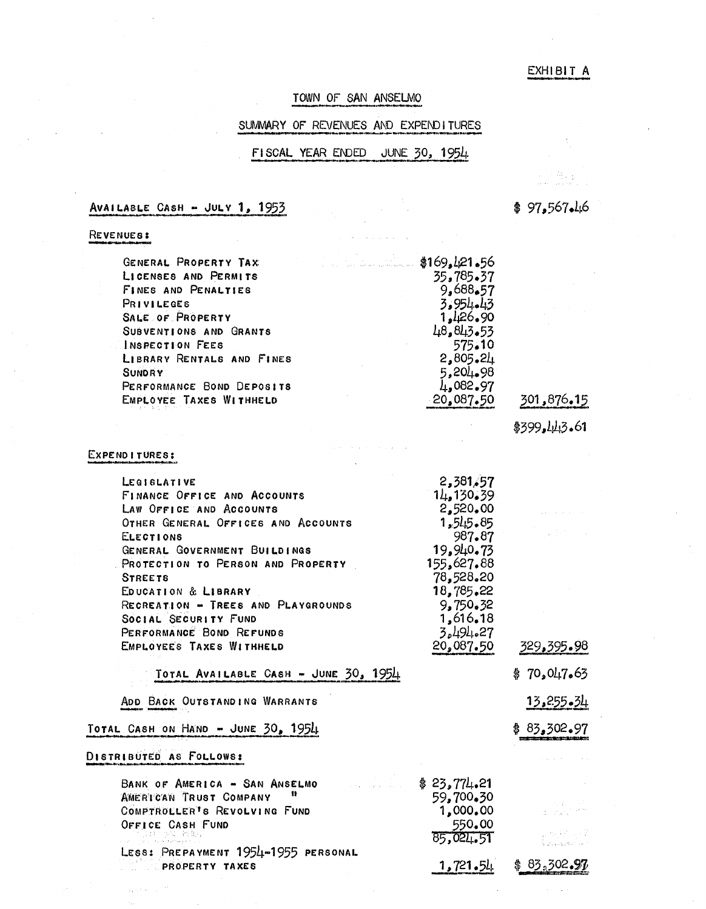#### EXHIBIT A

#### TOWN OF SAN ANSELMO

### SUMMARY OF REVENUES AND EXPENDITURES

### FISCAL YEAR ENDED JUNE 30, 1954

AVAILABLE CASH - JULV **1,** 195~

REVENUES:

| GENERAL PROPERTY TAX      | \$169,421.56           |  |
|---------------------------|------------------------|--|
| LICENSES AND PERMITS      | 35,785.37              |  |
| FINES AND PENALTIES       | 9,688.57               |  |
| PRIVILEGES                | 3.954.43               |  |
| SALE OF PROPERTY          | 1.126.90               |  |
| SUBVENTIONS AND GRANTS    | 48.843.53              |  |
| INSPECTION FEES           | 575.10                 |  |
| LIBRARY RENTALS AND FINES | 2,805,21               |  |
| <b>SUNDRY</b>             | 5,204,98               |  |
| PERFORMANCE BOND DEPOSITS | $\mu_{\bullet}$ 082.97 |  |
| EMPLOYEE TAXES WITHHELD   | 20,087.50              |  |

*\$399,LJl1.3.61* 

#### EXPEND I TURES:

| 2,381,57<br>LEGISLATIVE<br>14,130,39<br>FINANCE OFFICE AND ACCOUNTS<br>2,520,00<br>LAW OFFICE AND ACCOUNTS<br>1,545.85<br>OTHER GENERAL OFFICES AND ACCOUNTS<br>987.87<br><b>ELECTIONS</b><br>19,940.73<br>GENERAL GOVERNMENT BUILDINGS<br>155,627.88<br>PROTECTION TO PERSON AND PROPERTY<br>78,528.20<br><b>STREETS</b><br>18,785.22<br>EDUCATION & LIBRARY<br>RECREATION - TREES AND PLAYGROUNDS<br>9,750.32<br>1,616.18<br>SOCIAL SECURITY FUND |             |
|-----------------------------------------------------------------------------------------------------------------------------------------------------------------------------------------------------------------------------------------------------------------------------------------------------------------------------------------------------------------------------------------------------------------------------------------------------|-------------|
| 3.494.27<br>PERFORMANCE BOND REFUNDS<br>20,087.50<br>EMPLOYEES TAXES WITHHELD                                                                                                                                                                                                                                                                                                                                                                       | 329,395.98  |
| TOTAL AVAILABLE CASH - JUNE 30, 1954                                                                                                                                                                                                                                                                                                                                                                                                                | \$70,047,63 |
| ADD BACK OUTSTANDING WARRANTS                                                                                                                                                                                                                                                                                                                                                                                                                       | 13.255.34   |
| TOTAL CASH ON HAND - JUNE 30, 1954                                                                                                                                                                                                                                                                                                                                                                                                                  | \$83,302.97 |
| DISTRIBUTED AS FOLLOWS:                                                                                                                                                                                                                                                                                                                                                                                                                             |             |
| \$23,774.21<br>BANK OF AMERICA - SAN ANSELMO<br>59,700.30<br>AMERICAN TRUST COMPANY<br>1,000.00<br>COMPTROLLER'S REVOLVING FUND<br>550.00<br>OFFICE CASH FUND<br>85,024.51                                                                                                                                                                                                                                                                          |             |
| LESS: PREPAYMENT 1954-1955 PERSONAL<br>1,721.54<br>PROPERTY TAXES                                                                                                                                                                                                                                                                                                                                                                                   | \$83.302.97 |

 $\sim 20^{11}$ 

 $$97,567.16$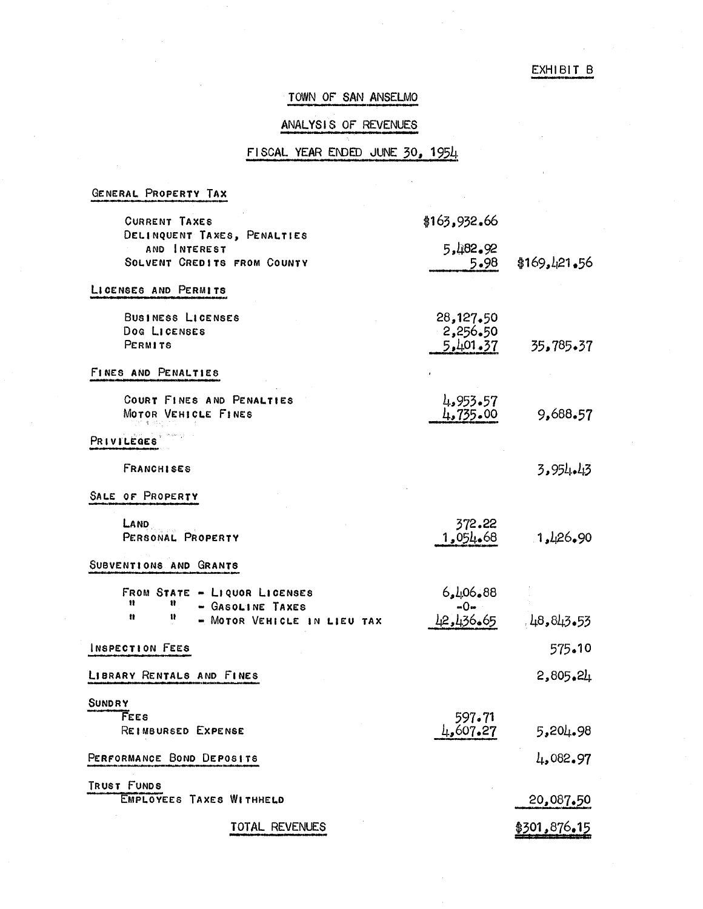#### EXHIBIT B

# TOWN OF SAN ANSELMO

### ANALYSIS OF REVENUES

#### FISCAL YEAR ENDED JUNE 30, 1954

GENERAL PROPERTY TAX

| <b>CURRENT TAXES</b>                                                                                | \$163,932.66                      |              |
|-----------------------------------------------------------------------------------------------------|-----------------------------------|--------------|
| DELINQUENT TAXES, PENALTIES<br>AND INTEREST<br>SOLVENT CREDITS FROM COUNTY                          | 5,482.92<br>5.98                  | \$169,121,56 |
| LICENSES AND PERMITS                                                                                |                                   |              |
| BUSINESS LICENSES<br>Dog LICENSES<br>PERMITS                                                        | 28,127,50<br>2,256.50<br>5,401,37 | 35,785.37    |
| FINES AND PENALTIES                                                                                 |                                   |              |
| COURT FINES AND PENALTIES<br>MOTOR VEHICLE FINES                                                    | 4,953.57<br>4,735.00              | 9,688.57     |
| PRIVILEGES                                                                                          |                                   |              |
| <b>FRANCHISES</b>                                                                                   |                                   | 3.954.43     |
| SALE OF PROPERTY                                                                                    |                                   |              |
| LAND<br>PERSONAL PROPERTY                                                                           | 372.22<br>1,054.68                | 1,426,90     |
| SUBVENTIONS AND GRANTS                                                                              |                                   |              |
| FROM STATE - LIQUOR LICENSES<br>Ħ<br>Ħ<br>- GASOLINE TAXES<br>n<br>Ħ<br>- MOTOR VEHICLE IN LIEU TAX | 88.06 ماره<br>$-0-$<br>42,436.65  | 148,843.53   |
| INSPECTION FEES                                                                                     |                                   | 575.10       |
| LIBRARY RENTALS AND FINES                                                                           |                                   | 2,805.24     |
| <b>SUNDRY</b>                                                                                       |                                   |              |
| FEES<br>REIMBURSED EXPENSE                                                                          | 597.71<br>4,607.27                | 5,204.98     |
| PERFORMANCE BOND DEPOSITS                                                                           |                                   | 4,082.97     |
| TRUST FUNDS<br>EMPLOYEES TAXES WITHHELD                                                             |                                   | 20,087.50    |
| TOTAL REVENUES                                                                                      |                                   | \$301,876.15 |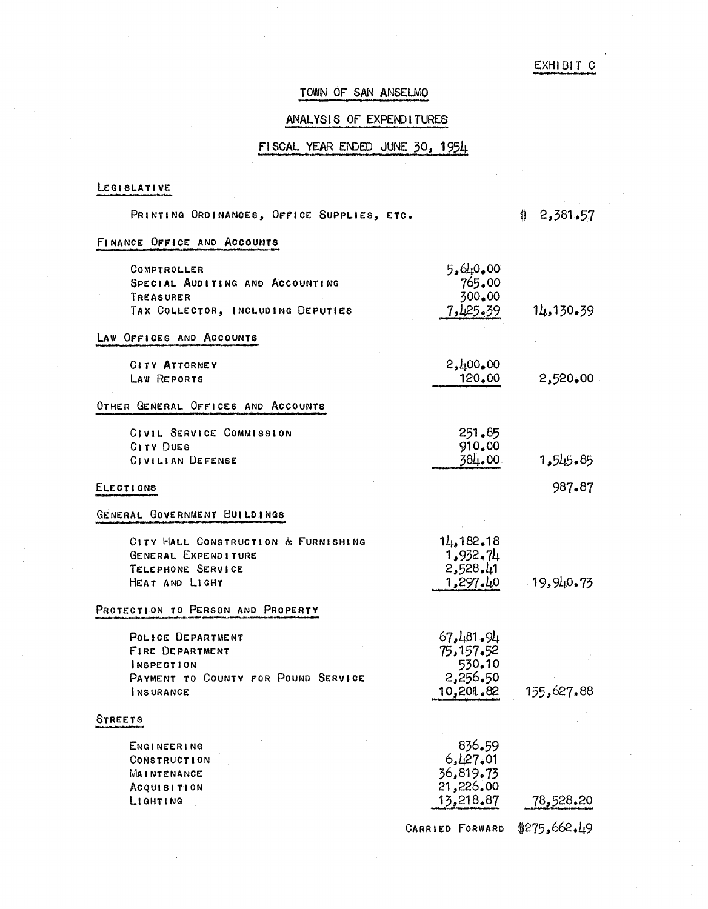# EXHIBIT C

### TOWN OF SAN ANSELMO

# ANALYSIS OF EXPENDITURES

# $FISCAL$  YEAR ENDED JUNE 30, 1954

### LEGISLATIVE

| PRINTING ORDINANCES, OFFICE SUPPLIES, ETC.                                                                           |                                                           | 2,381.57<br>\$ |
|----------------------------------------------------------------------------------------------------------------------|-----------------------------------------------------------|----------------|
| FINANCE OFFICE AND ACCOUNTS                                                                                          |                                                           |                |
| COMPTROLLER<br>SPECIAL AUDITING AND ACCOUNTING<br>TREASURER<br>TAX COLLECTOR, INCLUDING DEPUTIES                     | 5,640,00<br>765.00<br>300.00<br>7,425.39                  | 14, 130, 39    |
| LAW OFFICES AND ACCOUNTS                                                                                             |                                                           |                |
| <b>CITY ATTORNEY</b>                                                                                                 | 2,400,00                                                  |                |
| LAW REPORTS                                                                                                          | 120,00                                                    | 2,520,00       |
| OTHER GENERAL OFFICES AND ACCOUNTS                                                                                   |                                                           |                |
| CIVIL SERVICE COMMISSION<br><b>CITY DUES</b><br>CIVILIAN DEFENSE                                                     | 251.85<br>910.00<br>384.00                                | 1,545.85       |
| ELECTIONS                                                                                                            |                                                           | 987.87         |
| GENERAL GOVERNMENT BUILDINGS                                                                                         |                                                           |                |
| CITY HALL CONSTRUCTION & FURNISHING<br>GENERAL EXPENDITURE<br>TELEPHONE SERVICE<br>HEAT AND LIGHT                    | 14,182.18<br>1,932,74<br>2,528.41<br>1,297.40             | 19,940,73      |
| PROTECTION TO PERSON AND PROPERTY                                                                                    |                                                           |                |
| POLICE DEPARTMENT<br><b>FIRE DEPARTMENT</b><br>INSPECTION<br>PAYMENT TO COUNTY FOR POUND SERVICE<br><b>INSURANCE</b> | 67,481,94<br>75,157.52<br>530.10<br>2,256.50<br>10,201,82 | 155,627.88     |
| STREETS                                                                                                              |                                                           |                |
| ENGINEERING<br>CONSTRUCTION<br>MAINTENANCE<br><b>Acquisition</b><br>LIGHTING                                         | 836.59<br>6,427,01<br>36,819.73<br>21,226.00<br>13,218.87 | 78,528.20      |
|                                                                                                                      | <b>CARRIED FORWARD</b>                                    | \$275,662.49   |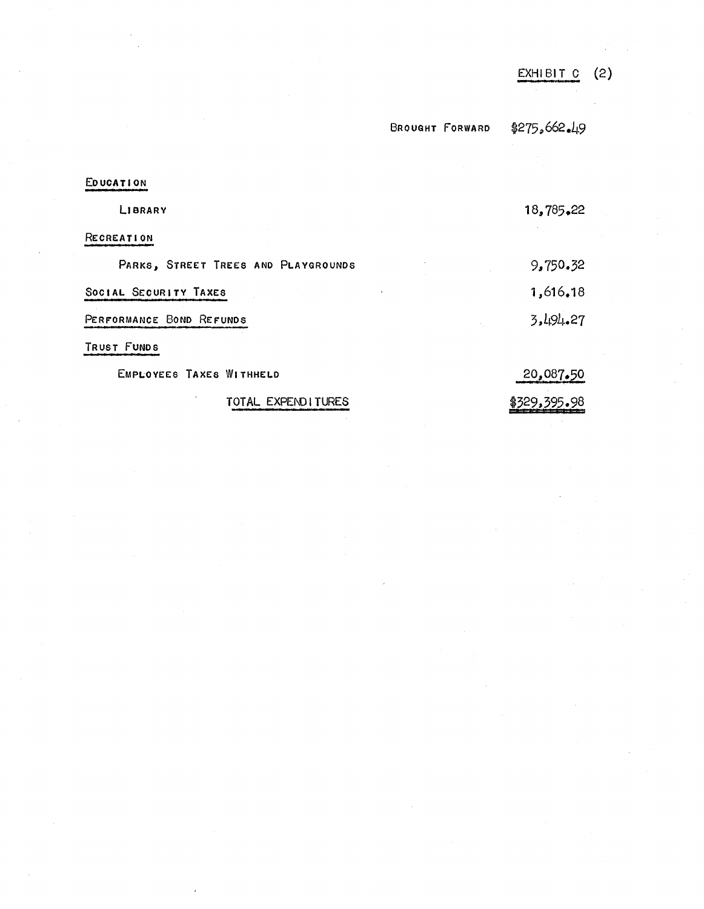|                                     |                        | <b>EXHIBIT</b> | (2) |
|-------------------------------------|------------------------|----------------|-----|
|                                     | <b>BROUGHT FORWARD</b> | \$275,662.49   |     |
|                                     |                        |                |     |
| EDUCATION                           |                        |                |     |
| LIBRARY                             |                        | 18,785,22      |     |
| RECREATION                          |                        |                |     |
| PARKS, STREET TREES AND PLAYGROUNDS |                        | 9,750.32       |     |
| SOCIAL SECURITY TAXES               |                        | 1,616.18       |     |
| PERFORMANCE BOND REFUNDS            |                        | 3,494.27       |     |
| TRUST FUNDS                         |                        |                |     |
| EMPLOYEES TAXES WITHHELD            |                        | 20,087.50      |     |
| TOTAL EXPEND ITURES                 |                        | \$329,395.98   |     |